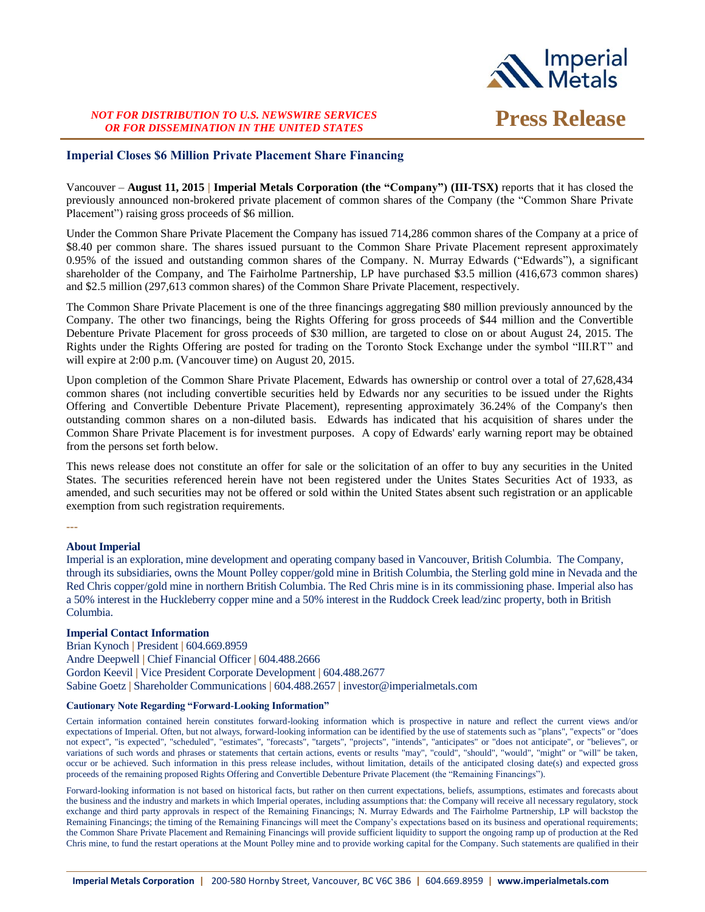

# *NOT FOR DISTRIBUTION TO U.S. NEWSWIRE SERVICES OR FOR DISSEMINATION IN THE UNITED STATES* **Press Release**

### **Imperial Closes \$6 Million Private Placement Share Financing**

Vancouver – **August 11, 2015 | Imperial Metals Corporation (the "Company") (III-TSX)** reports that it has closed the previously announced non-brokered private placement of common shares of the Company (the "Common Share Private Placement") raising gross proceeds of \$6 million.

Under the Common Share Private Placement the Company has issued 714,286 common shares of the Company at a price of \$8.40 per common share. The shares issued pursuant to the Common Share Private Placement represent approximately 0.95% of the issued and outstanding common shares of the Company. N. Murray Edwards ("Edwards"), a significant shareholder of the Company, and The Fairholme Partnership, LP have purchased \$3.5 million (416,673 common shares) and \$2.5 million (297,613 common shares) of the Common Share Private Placement, respectively.

The Common Share Private Placement is one of the three financings aggregating \$80 million previously announced by the Company. The other two financings, being the Rights Offering for gross proceeds of \$44 million and the Convertible Debenture Private Placement for gross proceeds of \$30 million, are targeted to close on or about August 24, 2015. The Rights under the Rights Offering are posted for trading on the Toronto Stock Exchange under the symbol "III.RT" and will expire at 2:00 p.m. (Vancouver time) on August 20, 2015.

Upon completion of the Common Share Private Placement, Edwards has ownership or control over a total of 27,628,434 common shares (not including convertible securities held by Edwards nor any securities to be issued under the Rights Offering and Convertible Debenture Private Placement), representing approximately 36.24% of the Company's then outstanding common shares on a non-diluted basis. Edwards has indicated that his acquisition of shares under the Common Share Private Placement is for investment purposes. A copy of Edwards' early warning report may be obtained from the persons set forth below.

This news release does not constitute an offer for sale or the solicitation of an offer to buy any securities in the United States. The securities referenced herein have not been registered under the Unites States Securities Act of 1933, as amended, and such securities may not be offered or sold within the United States absent such registration or an applicable exemption from such registration requirements.

**---**

# **About Imperial**

Imperial is an exploration, mine development and operating company based in Vancouver, British Columbia. The Company, through its subsidiaries, owns the Mount Polley copper/gold mine in British Columbia, the Sterling gold mine in Nevada and the Red Chris copper/gold mine in northern British Columbia. The Red Chris mine is in its commissioning phase. Imperial also has a 50% interest in the Huckleberry copper mine and a 50% interest in the Ruddock Creek lead/zinc property, both in British Columbia.

# **Imperial Contact Information**

Brian Kynoch **|** President **|** 604.669.8959 Andre Deepwell **|** Chief Financial Officer **|** 604.488.2666 Gordon Keevil **|** Vice President Corporate Development **|** 604.488.2677 Sabine Goetz **|** Shareholder Communications **|** 604.488.2657 **|** investor@imperialmetals.com

### **Cautionary Note Regarding "Forward-Looking Information"**

Certain information contained herein constitutes forward-looking information which is prospective in nature and reflect the current views and/or expectations of Imperial. Often, but not always, forward-looking information can be identified by the use of statements such as "plans", "expects" or "does not expect", "is expected", "scheduled", "estimates", "forecasts", "targets", "projects", "intends", "anticipates" or "does not anticipate", or "believes", or variations of such words and phrases or statements that certain actions, events or results "may", "could", "should", "would", "might" or "will" be taken, occur or be achieved. Such information in this press release includes, without limitation, details of the anticipated closing date(s) and expected gross proceeds of the remaining proposed Rights Offering and Convertible Debenture Private Placement (the "Remaining Financings").

Forward-looking information is not based on historical facts, but rather on then current expectations, beliefs, assumptions, estimates and forecasts about the business and the industry and markets in which Imperial operates, including assumptions that: the Company will receive all necessary regulatory, stock exchange and third party approvals in respect of the Remaining Financings; N. Murray Edwards and The Fairholme Partnership, LP will backstop the Remaining Financings; the timing of the Remaining Financings will meet the Company's expectations based on its business and operational requirements; the Common Share Private Placement and Remaining Financings will provide sufficient liquidity to support the ongoing ramp up of production at the Red Chris mine, to fund the restart operations at the Mount Polley mine and to provide working capital for the Company. Such statements are qualified in their